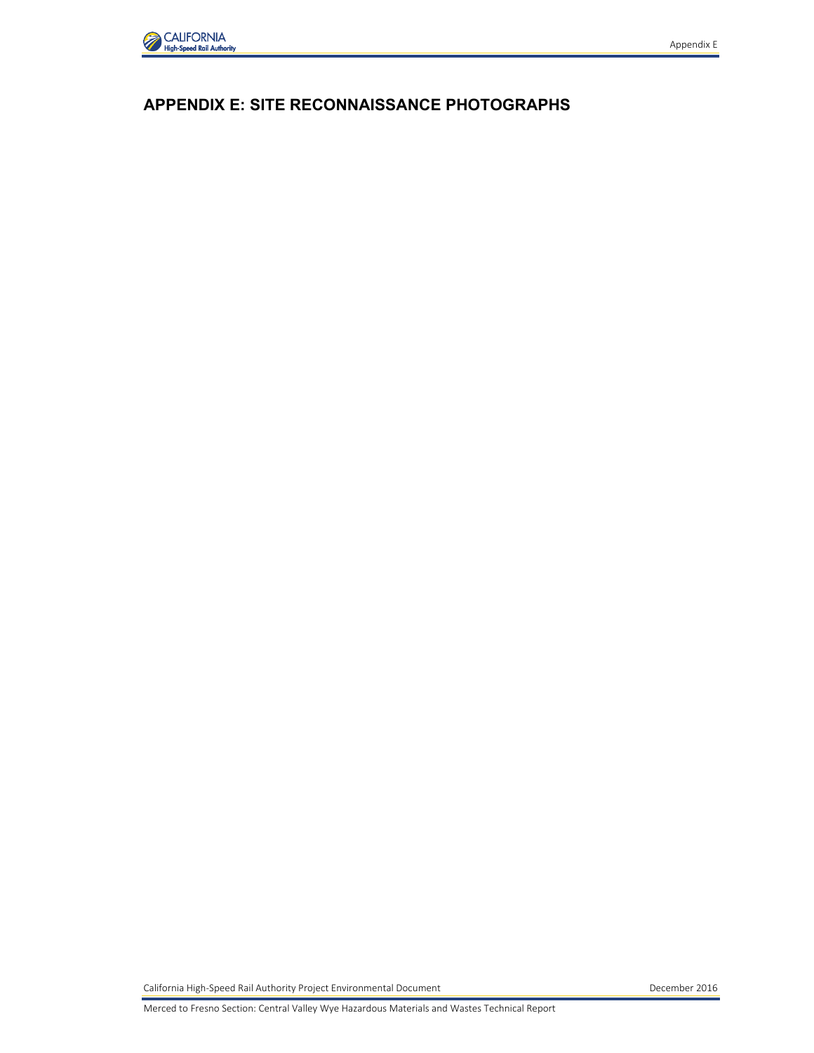

## **APPENDIX E: SITE RECONNAISSANCE PHOTOGRAPHS**

California High-Speed Rail Authority Project Environmental Document California December 2016

Merced to Fresno Section: Central Valley Wye Hazardous Materials and Wastes Technical Report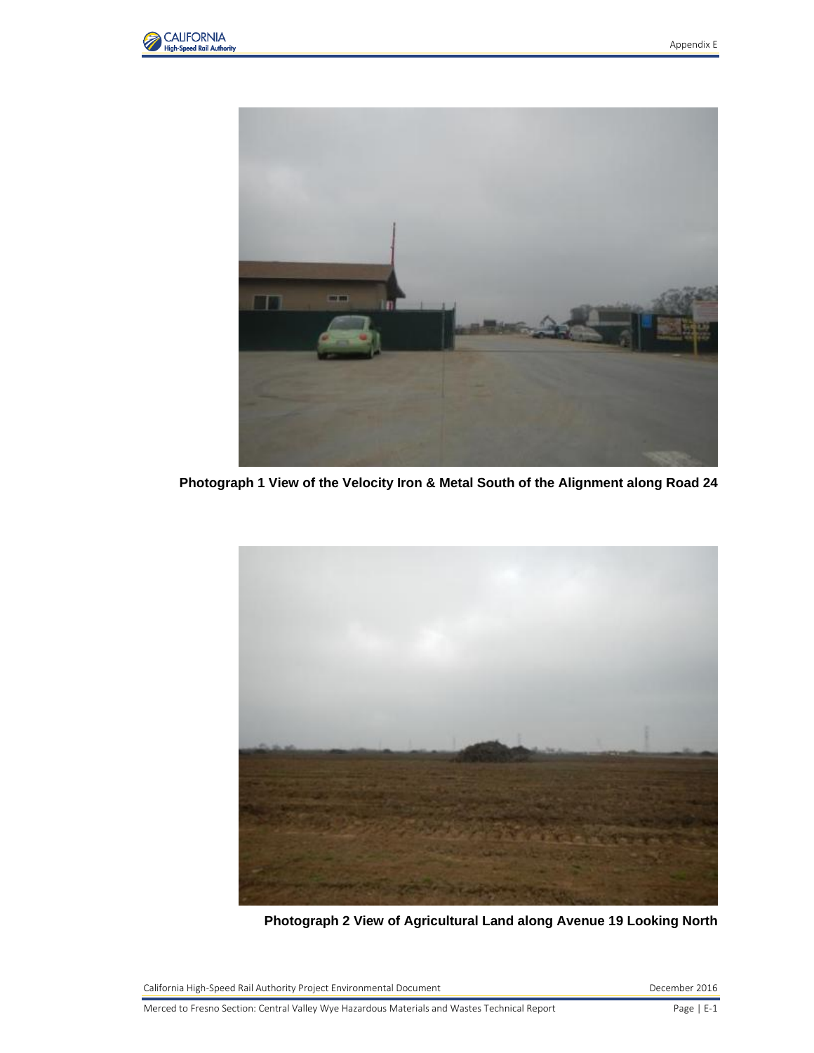



**Photograph 1 View of the Velocity Iron & Metal South of the Alignment along Road 24**



**Photograph 2 View of Agricultural Land along Avenue 19 Looking North**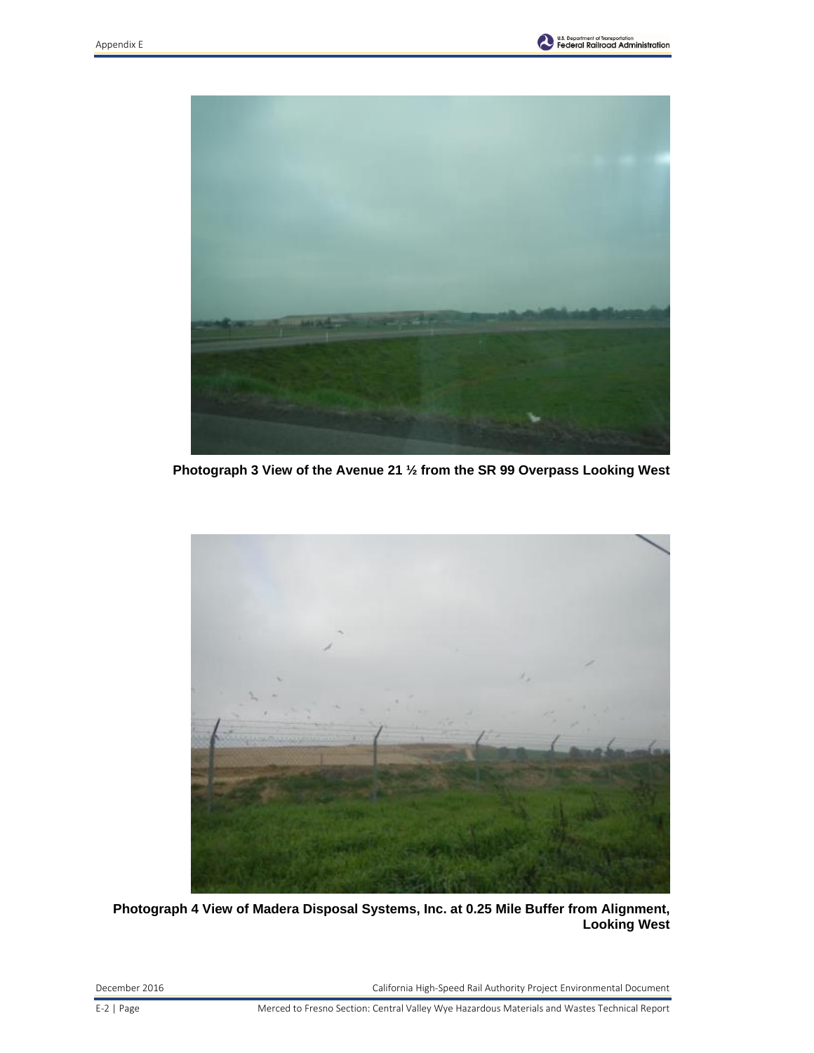



**Photograph 3 View of the Avenue 21 ½ from the SR 99 Overpass Looking West**



**Photograph 4 View of Madera Disposal Systems, Inc. at 0.25 Mile Buffer from Alignment, Looking West**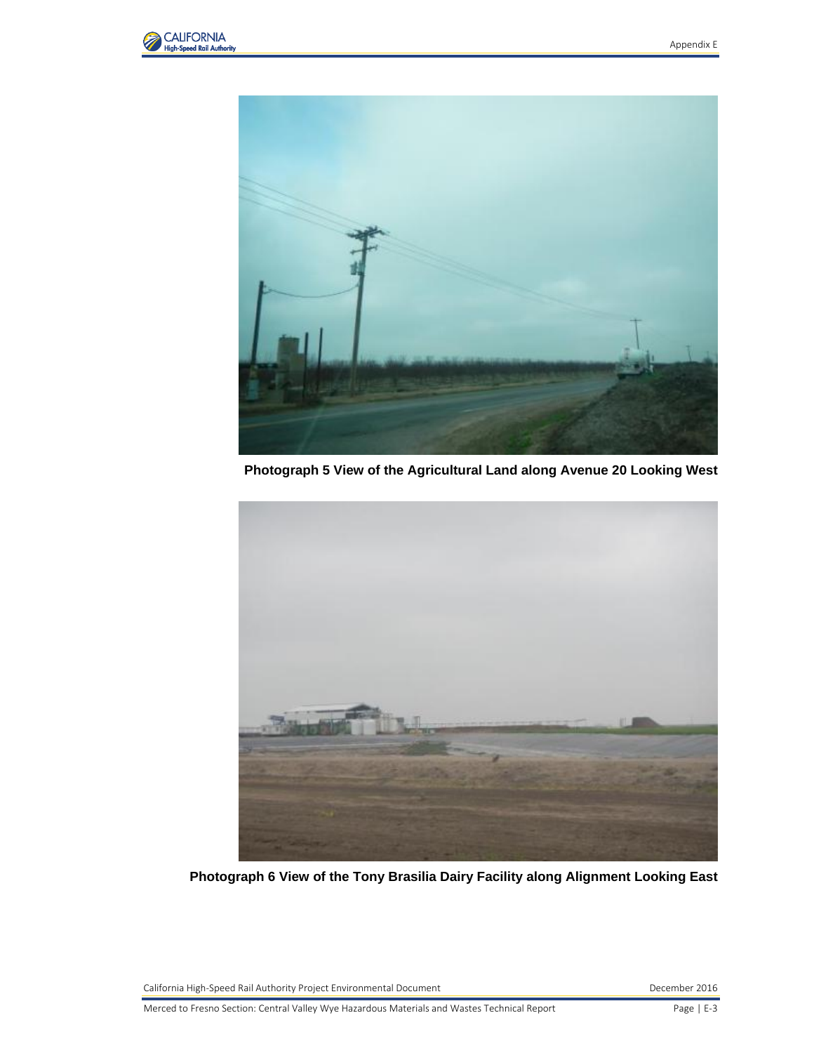



**Photograph 5 View of the Agricultural Land along Avenue 20 Looking West**



**Photograph 6 View of the Tony Brasilia Dairy Facility along Alignment Looking East**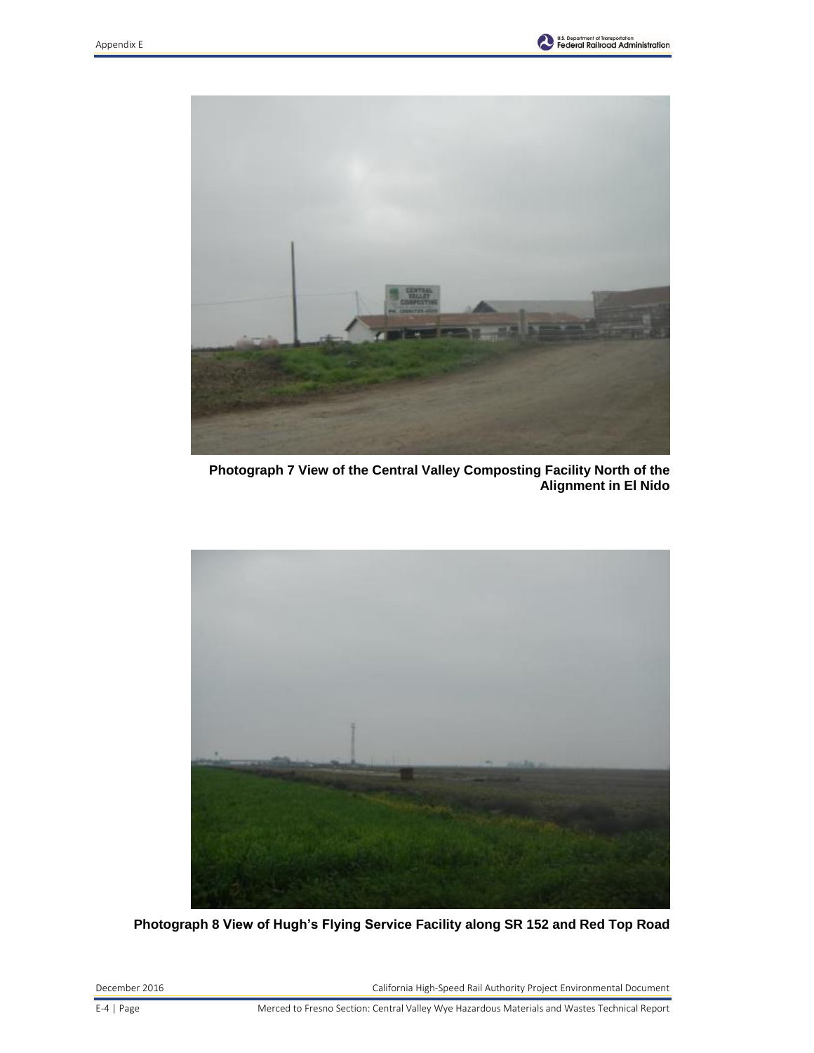



**Photograph 7 View of the Central Valley Composting Facility North of the Alignment in El Nido**



**Photograph 8 View of Hugh's Flying Service Facility along SR 152 and Red Top Road**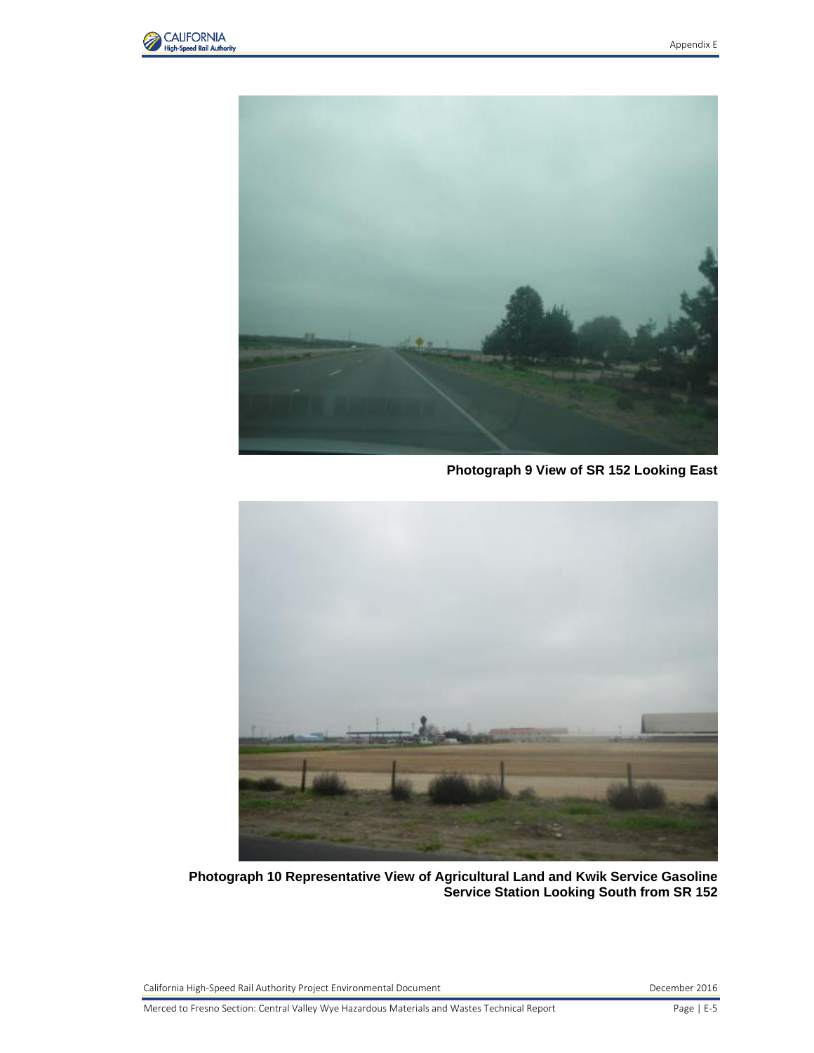



**Photograph 9 View of SR 152 Looking East**



**Photograph 10 Representative View of Agricultural Land and Kwik Service Gasoline Service Station Looking South from SR 152**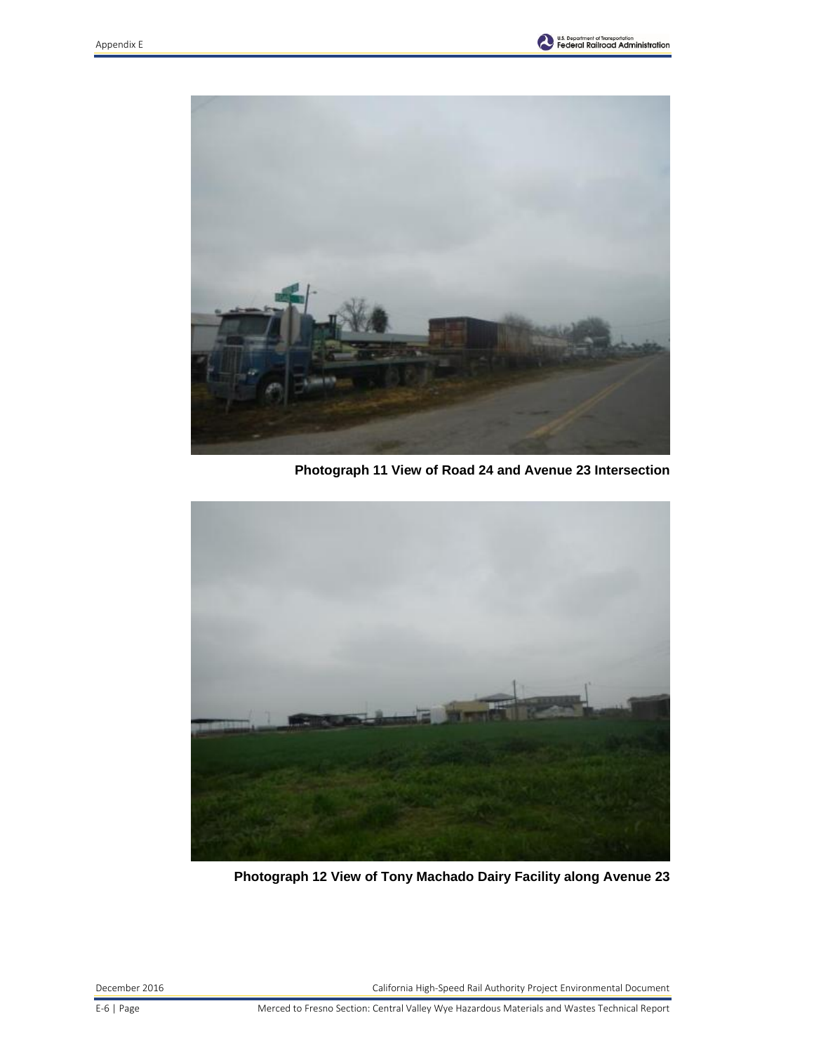



**Photograph 11 View of Road 24 and Avenue 23 Intersection**



**Photograph 12 View of Tony Machado Dairy Facility along Avenue 23**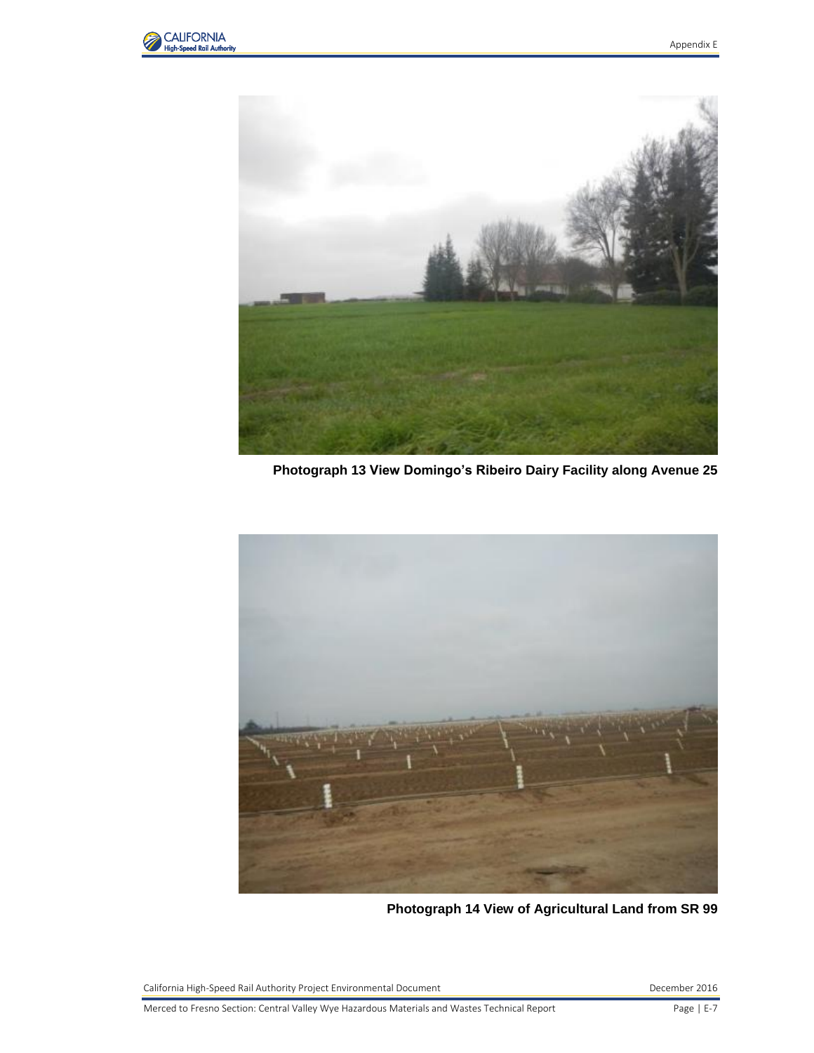



**Photograph 13 View Domingo's Ribeiro Dairy Facility along Avenue 25**



**Photograph 14 View of Agricultural Land from SR 99**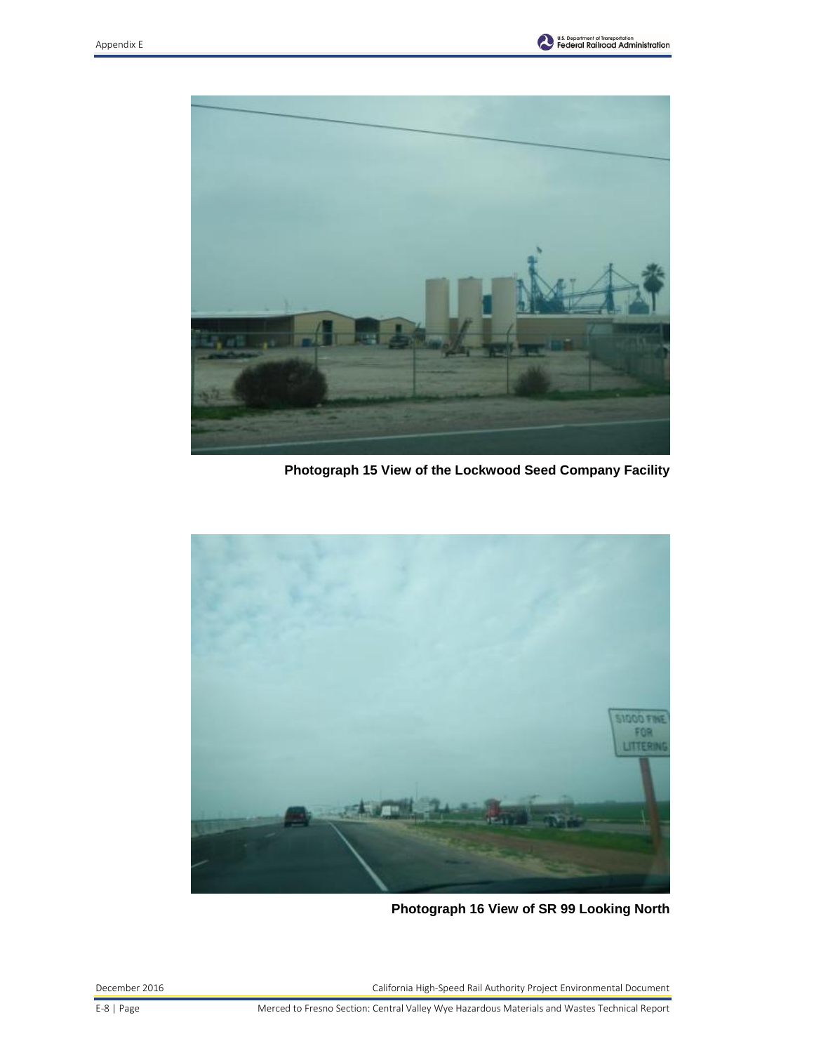



**Photograph 15 View of the Lockwood Seed Company Facility**



**Photograph 16 View of SR 99 Looking North**